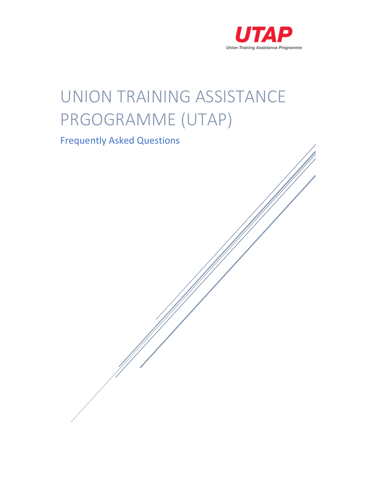

# UNION TRAINING ASSISTANCE PRGOGRAMME (UTAP)

# Frequently Asked Questions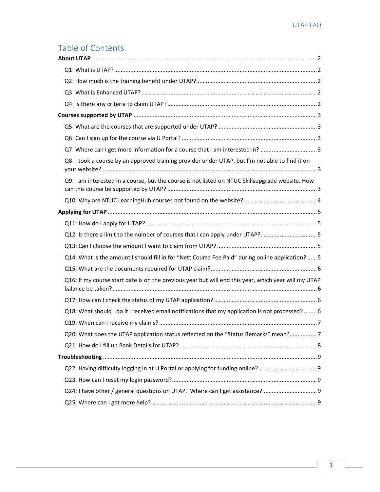# Table of Contents

| Q7: Where can I get more information for a course that I am interested in? 3                         |  |
|------------------------------------------------------------------------------------------------------|--|
| Q8: I took a course by an approved training provider under UTAP, but I'm not able to find it on      |  |
| Q9. I am interested in a course, but the course is not listed on NTUC Skillsupgrade website. How     |  |
|                                                                                                      |  |
|                                                                                                      |  |
|                                                                                                      |  |
| Q12: Is there a limit to the number of courses that I can apply under UTAP?5                         |  |
|                                                                                                      |  |
| Q14: What is the amount I should fill in for "Nett Course Fee Paid" during online application?  5    |  |
|                                                                                                      |  |
| Q16: If my course start date is on the previous year but will end this year, which year will my UTAP |  |
|                                                                                                      |  |
| Q18: What should I do if I received email notifications that my application is not processed?  6     |  |
|                                                                                                      |  |
| Q20: What does the UTAP application status reflected on the "Status Remarks" mean?7                  |  |
|                                                                                                      |  |
|                                                                                                      |  |
|                                                                                                      |  |
|                                                                                                      |  |
|                                                                                                      |  |
|                                                                                                      |  |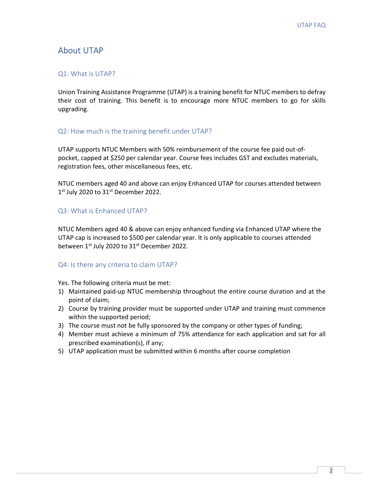# About UTAP

#### Q1: What is UTAP?

Union Training Assistance Programme (UTAP) is a training benefit for NTUC members to defray their cost of training. This benefit is to encourage more NTUC members to go for skills upgrading.

#### Q2: How much is the training benefit under UTAP?

UTAP supports NTUC Members with 50% reimbursement of the course fee paid out-ofpocket, capped at \$250 per calendar year. Course fees includes GST and excludes materials, registration fees, other miscellaneous fees, etc.

NTUC members aged 40 and above can enjoy Enhanced UTAP for courses attended between 1<sup>st</sup> July 2020 to 31<sup>st</sup> December 2022.

#### Q3: What is Enhanced UTAP?

NTUC Members aged 40 & above can enjoy enhanced funding via Enhanced UTAP where the UTAP cap is increased to \$500 per calendar year. It is only applicable to courses attended between 1<sup>st</sup> July 2020 to 31<sup>st</sup> December 2022.

#### Q4: Is there any criteria to claim UTAP?

Yes. The following criteria must be met:

- 1) Maintained paid-up NTUC membership throughout the entire course duration and at the point of claim;
- 2) Course by training provider must be supported under UTAP and training must commence within the supported period;
- 3) The course must not be fully sponsored by the company or other types of funding;
- 4) Member must achieve a minimum of 75% attendance for each application and sat for all prescribed examination(s), if any;
- 5) UTAP application must be submitted within 6 months after course completion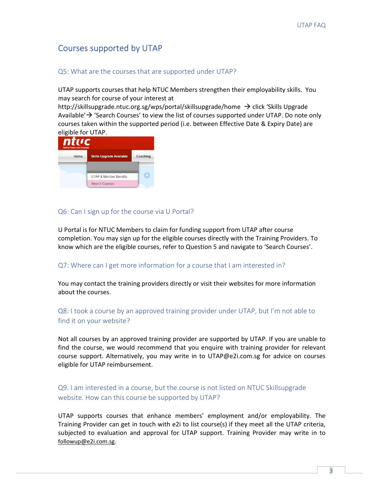# Courses supported by UTAP

#### Q5: What are the courses that are supported under UTAP?

UTAP supports courses that help NTUC Members strengthen their employability skills. You may search for course of your interest at

http://skillsupgrade.ntuc.org.sg/wps/portal/skillsupgrade/home  $\rightarrow$  click 'Skills Upgrade Available' $\rightarrow$  'Search Courses' to view the list of courses supported under UTAP. Do note only courses taken within the supported period (i.e. between Effective Date & Expiry Date) are eligible for UTAP.



#### Q6: Can I sign up for the course via U Portal?

U Portal is for NTUC Members to claim for funding support from UTAP after course completion. You may sign up for the eligible courses directly with the Training Providers. To know which are the eligible courses, refer to Question 5 and navigate to 'Search Courses'.

#### Q7: Where can I get more information for a course that I am interested in?

You may contact the training providers directly or visit their websites for more information about the courses.

## Q8: I took a course by an approved training provider under UTAP, but I'm not able to find it on your website?

Not all courses by an approved training provider are supported by UTAP. If you are unable to find the course, we would recommend that you enquire with training provider for relevant course support. Alternatively, you may write in to UTAP@e2i.com.sg for advice on courses eligible for UTAP reimbursement.

## Q9. I am interested in a course, but the course is not listed on NTUC Skillsupgrade website. How can this course be supported by UTAP?

UTAP supports courses that enhance members' employment and/or employability. The Training Provider can get in touch with e2i to list course(s) if they meet all the UTAP criteria, subjected to evaluation and approval for UTAP support. Training Provider may write in to followup@e2i.com.sg.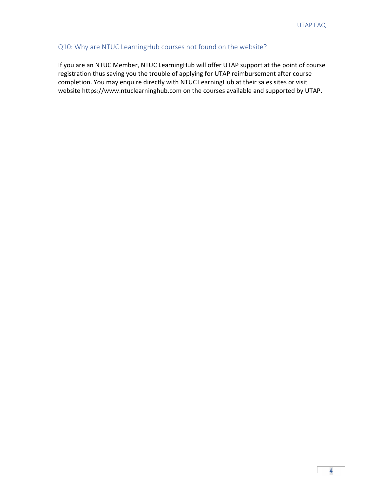## Q10: Why are NTUC LearningHub courses not found on the website?

If you are an NTUC Member, NTUC LearningHub will offer UTAP support at the point of course registration thus saving you the trouble of applying for UTAP reimbursement after course completion. You may enquire directly with NTUC LearningHub at their sales sites or visit website https://www.ntuclearninghub.com on the courses available and supported by UTAP.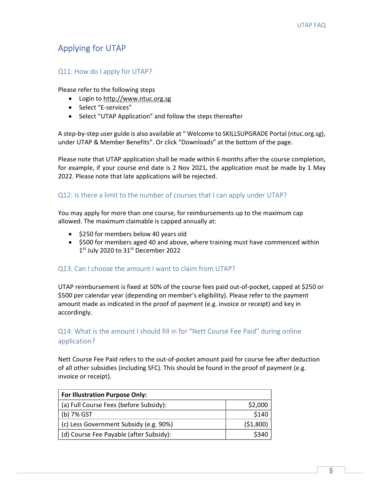# Applying for UTAP

#### Q11: How do I apply for UTAP?

Please refer to the following steps

- Login to http://www.ntuc.org.sg
- Select "E-services"
- Select "UTAP Application" and follow the steps thereafter

A step-by-step user guide is also available at " Welcome to SKILLSUPGRADE Portal (ntuc.org.sg), under UTAP & Member Benefits". Or click "Downloads" at the bottom of the page.

Please note that UTAP application shall be made within 6 months after the course completion, for example, if your course end date is 2 Nov 2021, the application must be made by 1 May 2022. Please note that late applications will be rejected.

#### Q12: Is there a limit to the number of courses that I can apply under UTAP?

You may apply for more than one course, for reimbursements up to the maximum cap allowed. The maximum claimable is capped annually at:

- \$250 for members below 40 years old
- \$500 for members aged 40 and above, where training must have commenced within 1<sup>st</sup> July 2020 to 31<sup>st</sup> December 2022

#### Q13: Can I choose the amount I want to claim from UTAP?

UTAP reimbursement is fixed at 50% of the course fees paid out-of-pocket, capped at \$250 or \$500 per calendar year (depending on member's eligibility). Please refer to the payment amount made as indicated in the proof of payment (e.g. invoice or receipt) and key in accordingly.

# Q14: What is the amount I should fill in for "Nett Course Fee Paid" during online application?

Nett Course Fee Paid refers to the out-of-pocket amount paid for course fee after deduction of all other subsidies (including SFC). This should be found in the proof of payment (e.g. invoice or receipt).

| <b>For Illustration Purpose Only:</b>   |          |  |
|-----------------------------------------|----------|--|
| (a) Full Course Fees (before Subsidy):  | \$2,000  |  |
| (b) 7% GST                              | \$140    |  |
| (c) Less Government Subsidy (e.g. 90%)  | (51,800) |  |
| (d) Course Fee Payable (after Subsidy): | \$340    |  |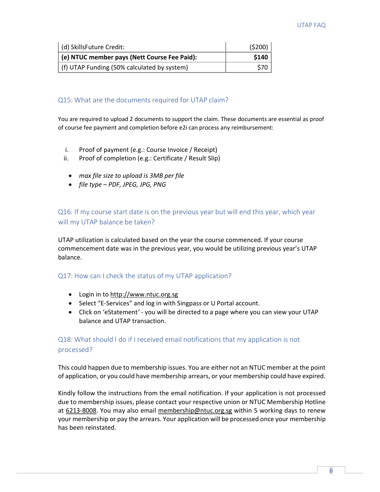| d) SkillsFuture Credit:                      | (5200) |
|----------------------------------------------|--------|
| (e) NTUC member pays (Nett Course Fee Paid): | \$140  |
| (f) UTAP Funding (50% calculated by system)  | S70    |

#### Q15: What are the documents required for UTAP claim?

You are required to upload 2 documents to support the claim. These documents are essential as proof of course fee payment and completion before e2i can process any reimbursement:

- i. Proof of payment (e.g.: Course Invoice / Receipt)
- ii. Proof of completion (e.g.: Certificate / Result Slip)
	- max file size to upload is 3MB per file
	- file type PDF, JPEG, JPG, PNG

Q16: If my course start date is on the previous year but will end this year, which year will my UTAP balance be taken?

UTAP utilization is calculated based on the year the course commenced. If your course commencement date was in the previous year, you would be utilizing previous year's UTAP balance.

#### Q17: How can I check the status of my UTAP application?

- Login in to http://www.ntuc.org.sg
- Select "E-Services" and log in with Singpass or U Portal account.
- Click on 'eStatement' you will be directed to a page where you can view your UTAP balance and UTAP transaction.

# Q18: What should I do if I received email notifications that my application is not processed?

This could happen due to membership issues. You are either not an NTUC member at the point of application, or you could have membership arrears, or your membership could have expired.

Kindly follow the instructions from the email notification. If your application is not processed due to membership issues, please contact your respective union or NTUC Membership Hotline at 6213-8008. You may also email membership@ntuc.org.sg within 5 working days to renew your membership or pay the arrears. Your application will be processed once your membership has been reinstated.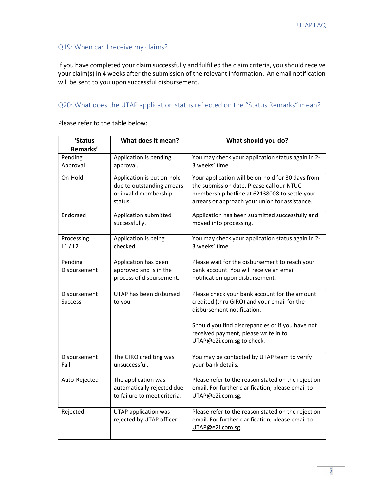## Q19: When can I receive my claims?

If you have completed your claim successfully and fulfilled the claim criteria, you should receive your claim(s) in 4 weeks after the submission of the relevant information. An email notification will be sent to you upon successful disbursement.

#### Q20: What does the UTAP application status reflected on the "Status Remarks" mean?

| 'Status             | What does it mean?                                | What should you do?                                                                                     |
|---------------------|---------------------------------------------------|---------------------------------------------------------------------------------------------------------|
| Remarks'            |                                                   |                                                                                                         |
| Pending             | Application is pending                            | You may check your application status again in 2-                                                       |
| Approval            | approval.                                         | 3 weeks' time.                                                                                          |
| On-Hold             | Application is put on-hold                        | Your application will be on-hold for 30 days from                                                       |
|                     | due to outstanding arrears                        | the submission date. Please call our NTUC                                                               |
|                     | or invalid membership                             | membership hotline at 62138008 to settle your                                                           |
|                     | status.                                           | arrears or approach your union for assistance.                                                          |
| Endorsed            | Application submitted                             | Application has been submitted successfully and                                                         |
|                     | successfully.                                     | moved into processing.                                                                                  |
|                     |                                                   |                                                                                                         |
| Processing<br>L1/L2 | Application is being<br>checked.                  | You may check your application status again in 2-<br>3 weeks' time.                                     |
|                     |                                                   |                                                                                                         |
| Pending             | Application has been                              | Please wait for the disbursement to reach your                                                          |
| Disbursement        | approved and is in the                            | bank account. You will receive an email                                                                 |
|                     | process of disbursement.                          | notification upon disbursement.                                                                         |
| Disbursement        | UTAP has been disbursed                           | Please check your bank account for the amount                                                           |
| <b>Success</b>      | to you                                            | credited (thru GIRO) and your email for the                                                             |
|                     |                                                   | disbursement notification.                                                                              |
|                     |                                                   |                                                                                                         |
|                     |                                                   | Should you find discrepancies or if you have not                                                        |
|                     |                                                   | received payment, please write in to                                                                    |
|                     |                                                   | UTAP@e2i.com.sg to check.                                                                               |
| Disbursement        | The GIRO crediting was                            | You may be contacted by UTAP team to verify                                                             |
| Fail                | unsuccessful.                                     | your bank details.                                                                                      |
|                     |                                                   |                                                                                                         |
| Auto-Rejected       | The application was<br>automatically rejected due | Please refer to the reason stated on the rejection<br>email. For further clarification, please email to |
|                     | to failure to meet criteria.                      | UTAP@e2i.com.sg.                                                                                        |
|                     |                                                   |                                                                                                         |
| Rejected            | UTAP application was                              | Please refer to the reason stated on the rejection                                                      |
|                     | rejected by UTAP officer.                         | email. For further clarification, please email to                                                       |
|                     |                                                   | UTAP@e2i.com.sg.                                                                                        |

Please refer to the table below: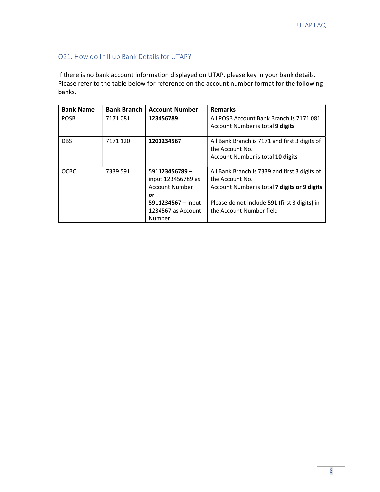# Q21. How do I fill up Bank Details for UTAP?

If there is no bank account information displayed on UTAP, please key in your bank details. Please refer to the table below for reference on the account number format for the following banks.

| <b>Bank Name</b> | <b>Bank Branch</b> | <b>Account Number</b>                                                                       | <b>Remarks</b>                                                                                                                                                    |
|------------------|--------------------|---------------------------------------------------------------------------------------------|-------------------------------------------------------------------------------------------------------------------------------------------------------------------|
| <b>POSB</b>      | 7171081            | 123456789                                                                                   | All POSB Account Bank Branch is 7171081<br>Account Number is total 9 digits                                                                                       |
| <b>DBS</b>       | 7171 120           | 1201234567                                                                                  | All Bank Branch is 7171 and first 3 digits of<br>the Account No.<br>Account Number is total 10 digits                                                             |
| <b>OCBC</b>      | 7339 591           | $591123456789 -$<br>input 123456789 as<br><b>Account Number</b><br>or<br>5911234567 - input | All Bank Branch is 7339 and first 3 digits of<br>the Account No.<br>Account Number is total 7 digits or 9 digits<br>Please do not include 591 (first 3 digits) in |
|                  |                    | 1234567 as Account<br>Number                                                                | the Account Number field                                                                                                                                          |